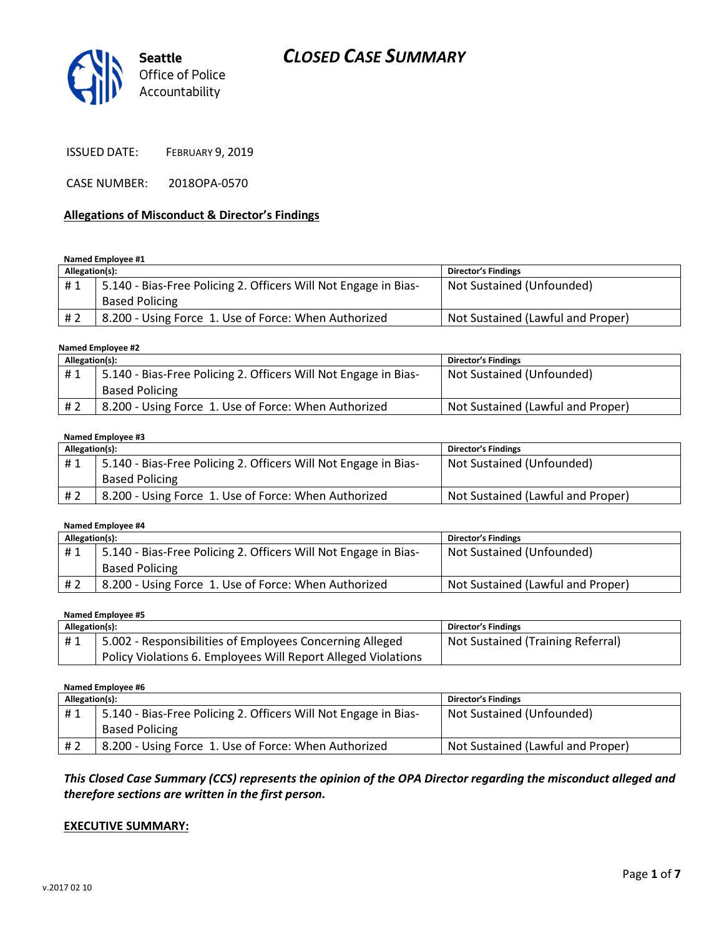



ISSUED DATE: FEBRUARY 9, 2019

CASE NUMBER: 2018OPA-0570

#### Allegations of Misconduct & Director's Findings

#### Named Employee #1

| Allegation(s): |                                                                 | <b>Director's Findings</b>        |
|----------------|-----------------------------------------------------------------|-----------------------------------|
| #1             | 5.140 - Bias-Free Policing 2. Officers Will Not Engage in Bias- | Not Sustained (Unfounded)         |
|                | <b>Based Policing</b>                                           |                                   |
| # 2            | 8.200 - Using Force 1. Use of Force: When Authorized            | Not Sustained (Lawful and Proper) |

#### Named Employee #2

| Allegation(s): |                                                                 | <b>Director's Findings</b>        |
|----------------|-----------------------------------------------------------------|-----------------------------------|
| #1             | 5.140 - Bias-Free Policing 2. Officers Will Not Engage in Bias- | Not Sustained (Unfounded)         |
|                | <b>Based Policing</b>                                           |                                   |
| # 2            | 8.200 - Using Force 1. Use of Force: When Authorized            | Not Sustained (Lawful and Proper) |

#### Named Employee #3

| Allegation(s): |                                                                 | <b>Director's Findings</b>        |
|----------------|-----------------------------------------------------------------|-----------------------------------|
| #1             | 5.140 - Bias-Free Policing 2. Officers Will Not Engage in Bias- | Not Sustained (Unfounded)         |
|                | <b>Based Policing</b>                                           |                                   |
| # 2            | 8.200 - Using Force 1. Use of Force: When Authorized            | Not Sustained (Lawful and Proper) |

#### Named Employee #4

| Allegation(s): |                                                                 | <b>Director's Findings</b>        |
|----------------|-----------------------------------------------------------------|-----------------------------------|
| #1             | 5.140 - Bias-Free Policing 2. Officers Will Not Engage in Bias- | Not Sustained (Unfounded)         |
|                | <b>Based Policing</b>                                           |                                   |
| #2             | 8.200 - Using Force 1. Use of Force: When Authorized            | Not Sustained (Lawful and Proper) |

#### Named Employee #5

| Allegation(s): |                                                               | <b>Director's Findings</b>        |
|----------------|---------------------------------------------------------------|-----------------------------------|
| #1             | 5.002 - Responsibilities of Employees Concerning Alleged      | Not Sustained (Training Referral) |
|                | Policy Violations 6. Employees Will Report Alleged Violations |                                   |

#### Named Employee #6

| Allegation(s): |                                                                 | <b>Director's Findings</b>        |
|----------------|-----------------------------------------------------------------|-----------------------------------|
| #1             | 5.140 - Bias-Free Policing 2. Officers Will Not Engage in Bias- | Not Sustained (Unfounded)         |
|                | <b>Based Policing</b>                                           |                                   |
| # 2            | 8.200 - Using Force 1. Use of Force: When Authorized            | Not Sustained (Lawful and Proper) |

This Closed Case Summary (CCS) represents the opinion of the OPA Director regarding the misconduct alleged and therefore sections are written in the first person.

#### EXECUTIVE SUMMARY: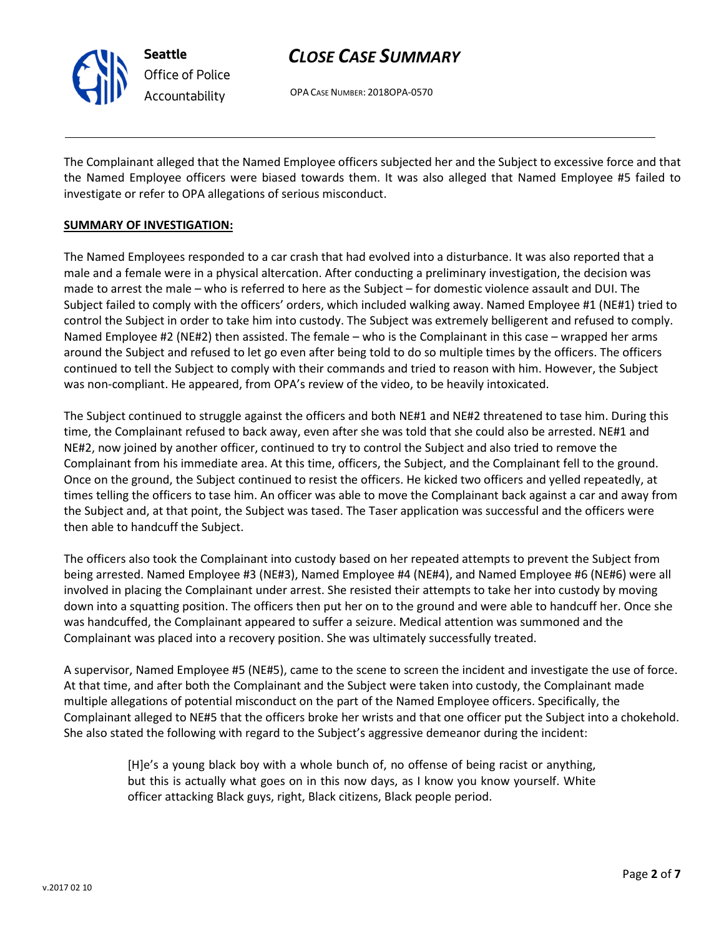

OPA CASE NUMBER: 2018OPA-0570

The Complainant alleged that the Named Employee officers subjected her and the Subject to excessive force and that the Named Employee officers were biased towards them. It was also alleged that Named Employee #5 failed to investigate or refer to OPA allegations of serious misconduct.

#### SUMMARY OF INVESTIGATION:

The Named Employees responded to a car crash that had evolved into a disturbance. It was also reported that a male and a female were in a physical altercation. After conducting a preliminary investigation, the decision was made to arrest the male – who is referred to here as the Subject – for domestic violence assault and DUI. The Subject failed to comply with the officers' orders, which included walking away. Named Employee #1 (NE#1) tried to control the Subject in order to take him into custody. The Subject was extremely belligerent and refused to comply. Named Employee #2 (NE#2) then assisted. The female – who is the Complainant in this case – wrapped her arms around the Subject and refused to let go even after being told to do so multiple times by the officers. The officers continued to tell the Subject to comply with their commands and tried to reason with him. However, the Subject was non-compliant. He appeared, from OPA's review of the video, to be heavily intoxicated.

The Subject continued to struggle against the officers and both NE#1 and NE#2 threatened to tase him. During this time, the Complainant refused to back away, even after she was told that she could also be arrested. NE#1 and NE#2, now joined by another officer, continued to try to control the Subject and also tried to remove the Complainant from his immediate area. At this time, officers, the Subject, and the Complainant fell to the ground. Once on the ground, the Subject continued to resist the officers. He kicked two officers and yelled repeatedly, at times telling the officers to tase him. An officer was able to move the Complainant back against a car and away from the Subject and, at that point, the Subject was tased. The Taser application was successful and the officers were then able to handcuff the Subject.

The officers also took the Complainant into custody based on her repeated attempts to prevent the Subject from being arrested. Named Employee #3 (NE#3), Named Employee #4 (NE#4), and Named Employee #6 (NE#6) were all involved in placing the Complainant under arrest. She resisted their attempts to take her into custody by moving down into a squatting position. The officers then put her on to the ground and were able to handcuff her. Once she was handcuffed, the Complainant appeared to suffer a seizure. Medical attention was summoned and the Complainant was placed into a recovery position. She was ultimately successfully treated.

A supervisor, Named Employee #5 (NE#5), came to the scene to screen the incident and investigate the use of force. At that time, and after both the Complainant and the Subject were taken into custody, the Complainant made multiple allegations of potential misconduct on the part of the Named Employee officers. Specifically, the Complainant alleged to NE#5 that the officers broke her wrists and that one officer put the Subject into a chokehold. She also stated the following with regard to the Subject's aggressive demeanor during the incident:

> [H]e's a young black boy with a whole bunch of, no offense of being racist or anything, but this is actually what goes on in this now days, as I know you know yourself. White officer attacking Black guys, right, Black citizens, Black people period.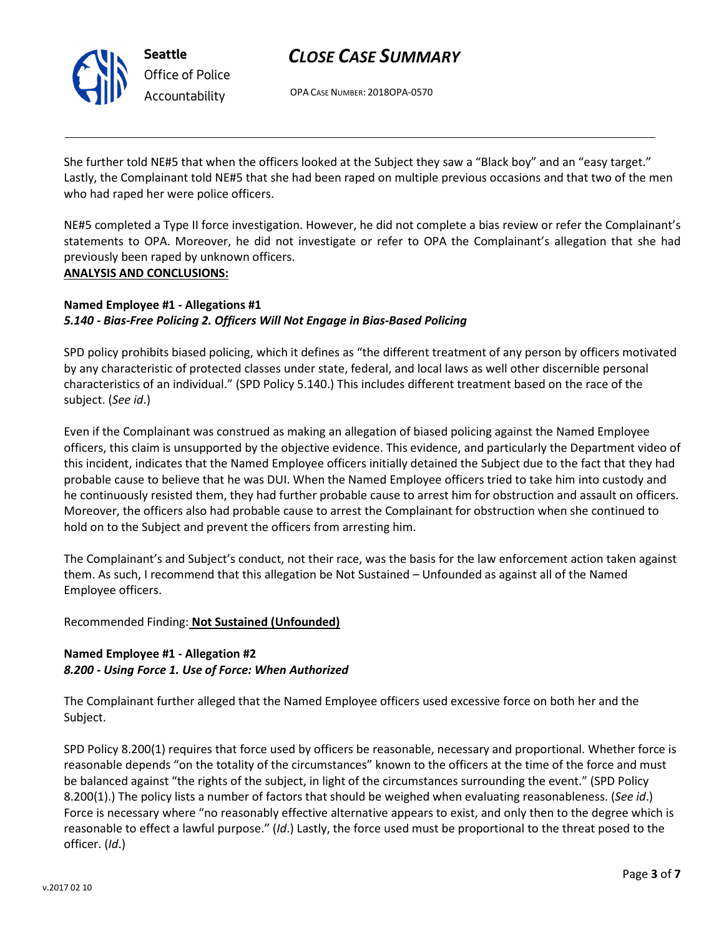

OPA CASE NUMBER: 2018OPA-0570

She further told NE#5 that when the officers looked at the Subject they saw a "Black boy" and an "easy target." Lastly, the Complainant told NE#5 that she had been raped on multiple previous occasions and that two of the men who had raped her were police officers.

NE#5 completed a Type II force investigation. However, he did not complete a bias review or refer the Complainant's statements to OPA. Moreover, he did not investigate or refer to OPA the Complainant's allegation that she had previously been raped by unknown officers. ANALYSIS AND CONCLUSIONS:

## Named Employee #1 - Allegations #1 5.140 - Bias-Free Policing 2. Officers Will Not Engage in Bias-Based Policing

SPD policy prohibits biased policing, which it defines as "the different treatment of any person by officers motivated by any characteristic of protected classes under state, federal, and local laws as well other discernible personal characteristics of an individual." (SPD Policy 5.140.) This includes different treatment based on the race of the subject. (See id.)

Even if the Complainant was construed as making an allegation of biased policing against the Named Employee officers, this claim is unsupported by the objective evidence. This evidence, and particularly the Department video of this incident, indicates that the Named Employee officers initially detained the Subject due to the fact that they had probable cause to believe that he was DUI. When the Named Employee officers tried to take him into custody and he continuously resisted them, they had further probable cause to arrest him for obstruction and assault on officers. Moreover, the officers also had probable cause to arrest the Complainant for obstruction when she continued to hold on to the Subject and prevent the officers from arresting him.

The Complainant's and Subject's conduct, not their race, was the basis for the law enforcement action taken against them. As such, I recommend that this allegation be Not Sustained – Unfounded as against all of the Named Employee officers.

### Recommended Finding: Not Sustained (Unfounded)

### Named Employee #1 - Allegation #2 8.200 - Using Force 1. Use of Force: When Authorized

The Complainant further alleged that the Named Employee officers used excessive force on both her and the Subject.

SPD Policy 8.200(1) requires that force used by officers be reasonable, necessary and proportional. Whether force is reasonable depends "on the totality of the circumstances" known to the officers at the time of the force and must be balanced against "the rights of the subject, in light of the circumstances surrounding the event." (SPD Policy 8.200(1).) The policy lists a number of factors that should be weighed when evaluating reasonableness. (See id.) Force is necessary where "no reasonably effective alternative appears to exist, and only then to the degree which is reasonable to effect a lawful purpose." (Id.) Lastly, the force used must be proportional to the threat posed to the officer. (Id.)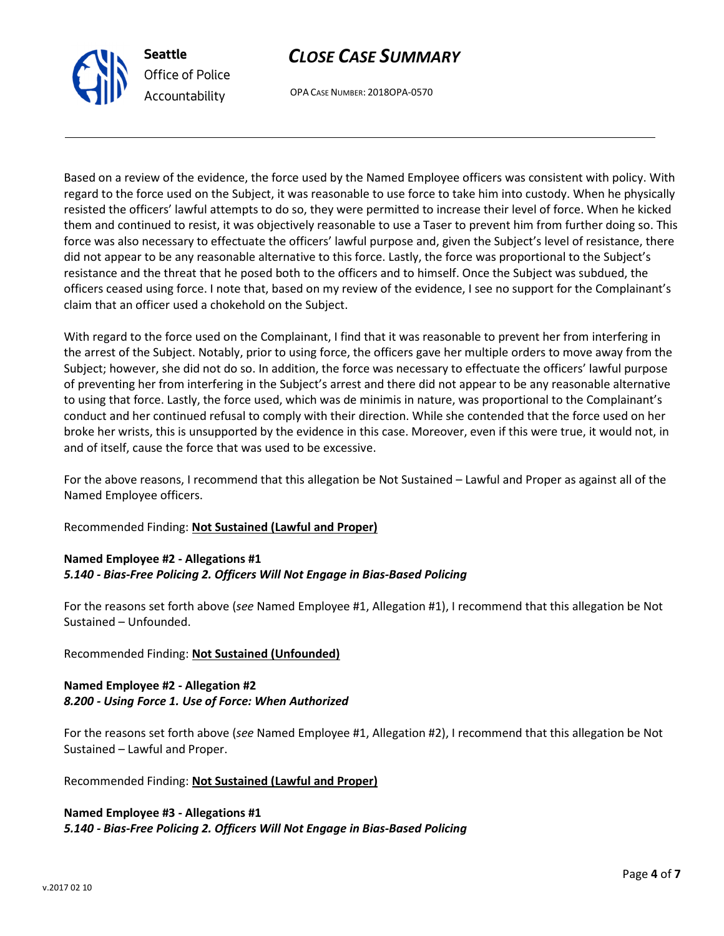

OPA CASE NUMBER: 2018OPA-0570

Based on a review of the evidence, the force used by the Named Employee officers was consistent with policy. With regard to the force used on the Subject, it was reasonable to use force to take him into custody. When he physically resisted the officers' lawful attempts to do so, they were permitted to increase their level of force. When he kicked them and continued to resist, it was objectively reasonable to use a Taser to prevent him from further doing so. This force was also necessary to effectuate the officers' lawful purpose and, given the Subject's level of resistance, there did not appear to be any reasonable alternative to this force. Lastly, the force was proportional to the Subject's resistance and the threat that he posed both to the officers and to himself. Once the Subject was subdued, the officers ceased using force. I note that, based on my review of the evidence, I see no support for the Complainant's claim that an officer used a chokehold on the Subject.

With regard to the force used on the Complainant, I find that it was reasonable to prevent her from interfering in the arrest of the Subject. Notably, prior to using force, the officers gave her multiple orders to move away from the Subject; however, she did not do so. In addition, the force was necessary to effectuate the officers' lawful purpose of preventing her from interfering in the Subject's arrest and there did not appear to be any reasonable alternative to using that force. Lastly, the force used, which was de minimis in nature, was proportional to the Complainant's conduct and her continued refusal to comply with their direction. While she contended that the force used on her broke her wrists, this is unsupported by the evidence in this case. Moreover, even if this were true, it would not, in and of itself, cause the force that was used to be excessive.

For the above reasons, I recommend that this allegation be Not Sustained – Lawful and Proper as against all of the Named Employee officers.

Recommended Finding: Not Sustained (Lawful and Proper)

Seattle

Office of Police Accountability

## Named Employee #2 - Allegations #1 5.140 - Bias-Free Policing 2. Officers Will Not Engage in Bias-Based Policing

For the reasons set forth above (see Named Employee #1, Allegation #1), I recommend that this allegation be Not Sustained – Unfounded.

Recommended Finding: Not Sustained (Unfounded)

## Named Employee #2 - Allegation #2 8.200 - Using Force 1. Use of Force: When Authorized

For the reasons set forth above (see Named Employee #1, Allegation #2), I recommend that this allegation be Not Sustained – Lawful and Proper.

Recommended Finding: Not Sustained (Lawful and Proper)

#### Named Employee #3 - Allegations #1 5.140 - Bias-Free Policing 2. Officers Will Not Engage in Bias-Based Policing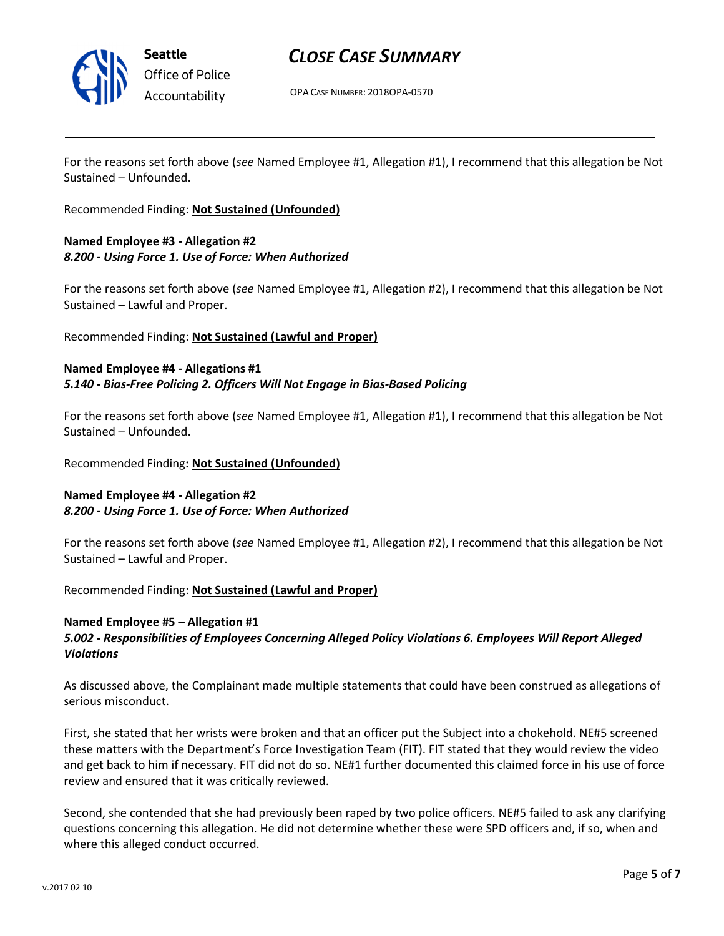

Seattle Office of Police Accountability

## CLOSE CASE SUMMARY

OPA CASE NUMBER: 2018OPA-0570

For the reasons set forth above (see Named Employee #1, Allegation #1), I recommend that this allegation be Not Sustained – Unfounded.

Recommended Finding: Not Sustained (Unfounded)

## Named Employee #3 - Allegation #2 8.200 - Using Force 1. Use of Force: When Authorized

For the reasons set forth above (see Named Employee #1, Allegation #2), I recommend that this allegation be Not Sustained – Lawful and Proper.

#### Recommended Finding: Not Sustained (Lawful and Proper)

#### Named Employee #4 - Allegations #1 5.140 - Bias-Free Policing 2. Officers Will Not Engage in Bias-Based Policing

For the reasons set forth above (see Named Employee #1, Allegation #1), I recommend that this allegation be Not Sustained – Unfounded.

Recommended Finding: Not Sustained (Unfounded)

### Named Employee #4 - Allegation #2 8.200 - Using Force 1. Use of Force: When Authorized

For the reasons set forth above (see Named Employee #1, Allegation #2), I recommend that this allegation be Not Sustained – Lawful and Proper.

Recommended Finding: Not Sustained (Lawful and Proper)

### Named Employee #5 – Allegation #1

### 5.002 - Responsibilities of Employees Concerning Alleged Policy Violations 6. Employees Will Report Alleged Violations

As discussed above, the Complainant made multiple statements that could have been construed as allegations of serious misconduct.

First, she stated that her wrists were broken and that an officer put the Subject into a chokehold. NE#5 screened these matters with the Department's Force Investigation Team (FIT). FIT stated that they would review the video and get back to him if necessary. FIT did not do so. NE#1 further documented this claimed force in his use of force review and ensured that it was critically reviewed.

Second, she contended that she had previously been raped by two police officers. NE#5 failed to ask any clarifying questions concerning this allegation. He did not determine whether these were SPD officers and, if so, when and where this alleged conduct occurred.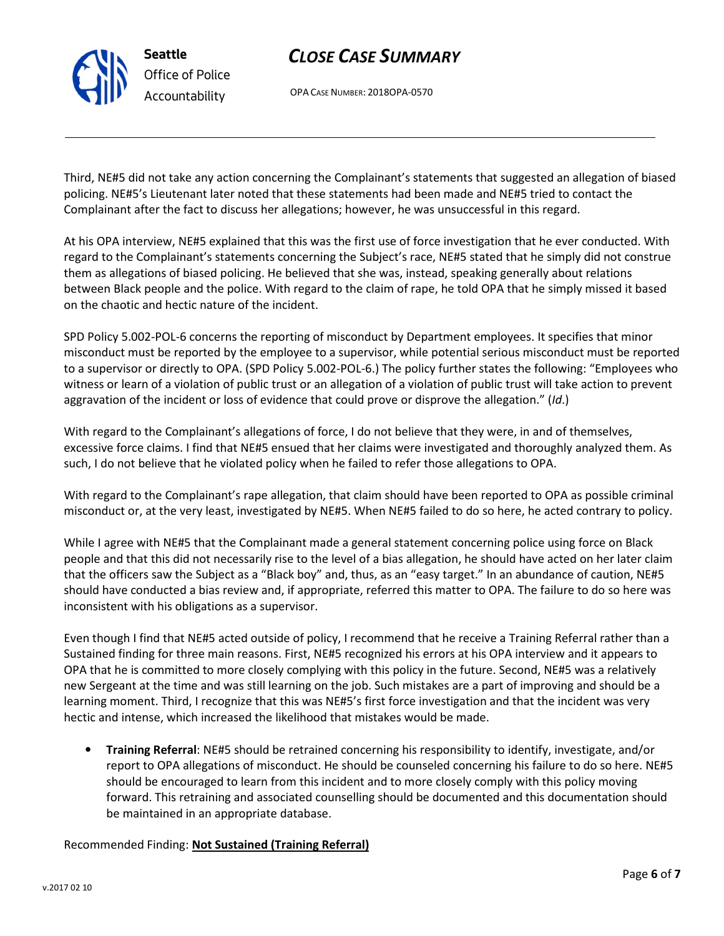OPA CASE NUMBER: 2018OPA-0570

Seattle

Office of Police Accountability

Third, NE#5 did not take any action concerning the Complainant's statements that suggested an allegation of biased policing. NE#5's Lieutenant later noted that these statements had been made and NE#5 tried to contact the Complainant after the fact to discuss her allegations; however, he was unsuccessful in this regard.

At his OPA interview, NE#5 explained that this was the first use of force investigation that he ever conducted. With regard to the Complainant's statements concerning the Subject's race, NE#5 stated that he simply did not construe them as allegations of biased policing. He believed that she was, instead, speaking generally about relations between Black people and the police. With regard to the claim of rape, he told OPA that he simply missed it based on the chaotic and hectic nature of the incident.

SPD Policy 5.002-POL-6 concerns the reporting of misconduct by Department employees. It specifies that minor misconduct must be reported by the employee to a supervisor, while potential serious misconduct must be reported to a supervisor or directly to OPA. (SPD Policy 5.002-POL-6.) The policy further states the following: "Employees who witness or learn of a violation of public trust or an allegation of a violation of public trust will take action to prevent aggravation of the incident or loss of evidence that could prove or disprove the allegation." (Id.)

With regard to the Complainant's allegations of force, I do not believe that they were, in and of themselves, excessive force claims. I find that NE#5 ensued that her claims were investigated and thoroughly analyzed them. As such, I do not believe that he violated policy when he failed to refer those allegations to OPA.

With regard to the Complainant's rape allegation, that claim should have been reported to OPA as possible criminal misconduct or, at the very least, investigated by NE#5. When NE#5 failed to do so here, he acted contrary to policy.

While I agree with NE#5 that the Complainant made a general statement concerning police using force on Black people and that this did not necessarily rise to the level of a bias allegation, he should have acted on her later claim that the officers saw the Subject as a "Black boy" and, thus, as an "easy target." In an abundance of caution, NE#5 should have conducted a bias review and, if appropriate, referred this matter to OPA. The failure to do so here was inconsistent with his obligations as a supervisor.

Even though I find that NE#5 acted outside of policy, I recommend that he receive a Training Referral rather than a Sustained finding for three main reasons. First, NE#5 recognized his errors at his OPA interview and it appears to OPA that he is committed to more closely complying with this policy in the future. Second, NE#5 was a relatively new Sergeant at the time and was still learning on the job. Such mistakes are a part of improving and should be a learning moment. Third, I recognize that this was NE#5's first force investigation and that the incident was very hectic and intense, which increased the likelihood that mistakes would be made.

• Training Referral: NE#5 should be retrained concerning his responsibility to identify, investigate, and/or report to OPA allegations of misconduct. He should be counseled concerning his failure to do so here. NE#5 should be encouraged to learn from this incident and to more closely comply with this policy moving forward. This retraining and associated counselling should be documented and this documentation should be maintained in an appropriate database.

### Recommended Finding: Not Sustained (Training Referral)